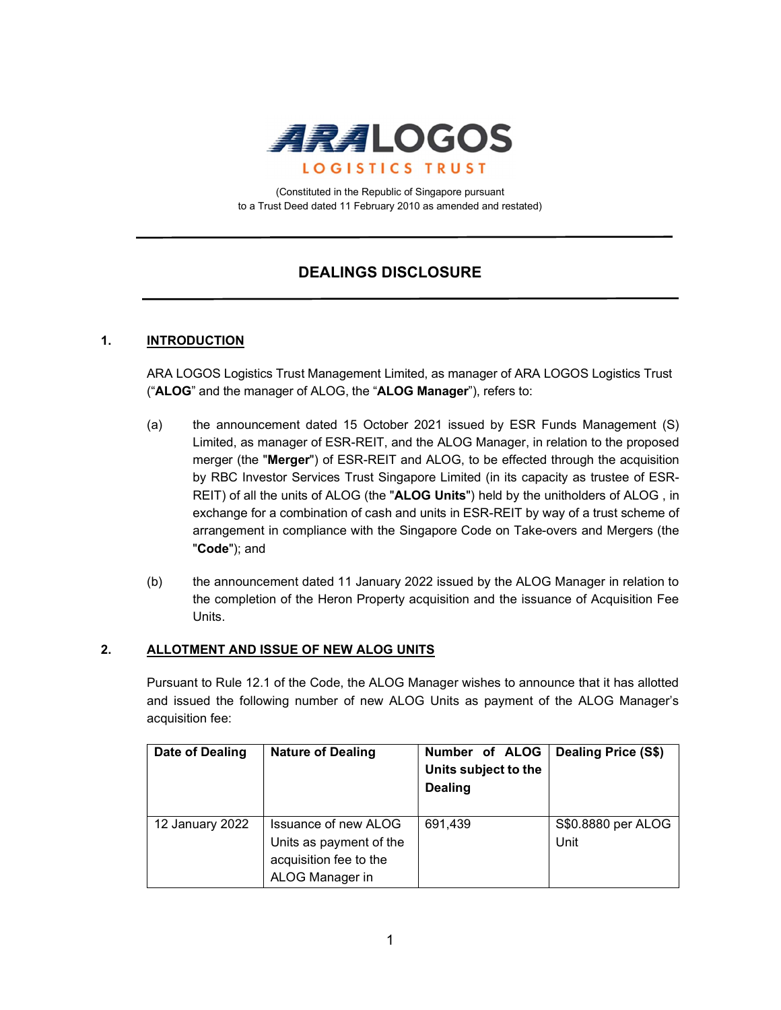

(Constituted in the Republic of Singapore pursuant to a Trust Deed dated 11 February 2010 as amended and restated)

# DEALINGS DISCLOSURE

## 1. **INTRODUCTION**

ARA LOGOS Logistics Trust Management Limited, as manager of ARA LOGOS Logistics Trust ("ALOG" and the manager of ALOG, the "ALOG Manager"), refers to:

- (a) the announcement dated 15 October 2021 issued by ESR Funds Management (S) Limited, as manager of ESR-REIT, and the ALOG Manager, in relation to the proposed merger (the "Merger") of ESR-REIT and ALOG, to be effected through the acquisition by RBC Investor Services Trust Singapore Limited (in its capacity as trustee of ESR-REIT) of all the units of ALOG (the "ALOG Units") held by the unitholders of ALOG , in exchange for a combination of cash and units in ESR-REIT by way of a trust scheme of arrangement in compliance with the Singapore Code on Take-overs and Mergers (the "Code"); and
- (b) the announcement dated 11 January 2022 issued by the ALOG Manager in relation to the completion of the Heron Property acquisition and the issuance of Acquisition Fee Units.

### 2. ALLOTMENT AND ISSUE OF NEW ALOG UNITS

Pursuant to Rule 12.1 of the Code, the ALOG Manager wishes to announce that it has allotted and issued the following number of new ALOG Units as payment of the ALOG Manager's acquisition fee:

| Date of Dealing | <b>Nature of Dealing</b>                                                                            | Number of ALOG<br>Units subject to the<br><b>Dealing</b> | <b>Dealing Price (S\$)</b> |
|-----------------|-----------------------------------------------------------------------------------------------------|----------------------------------------------------------|----------------------------|
| 12 January 2022 | <b>Issuance of new ALOG</b><br>Units as payment of the<br>acquisition fee to the<br>ALOG Manager in | 691,439                                                  | S\$0.8880 per ALOG<br>Unit |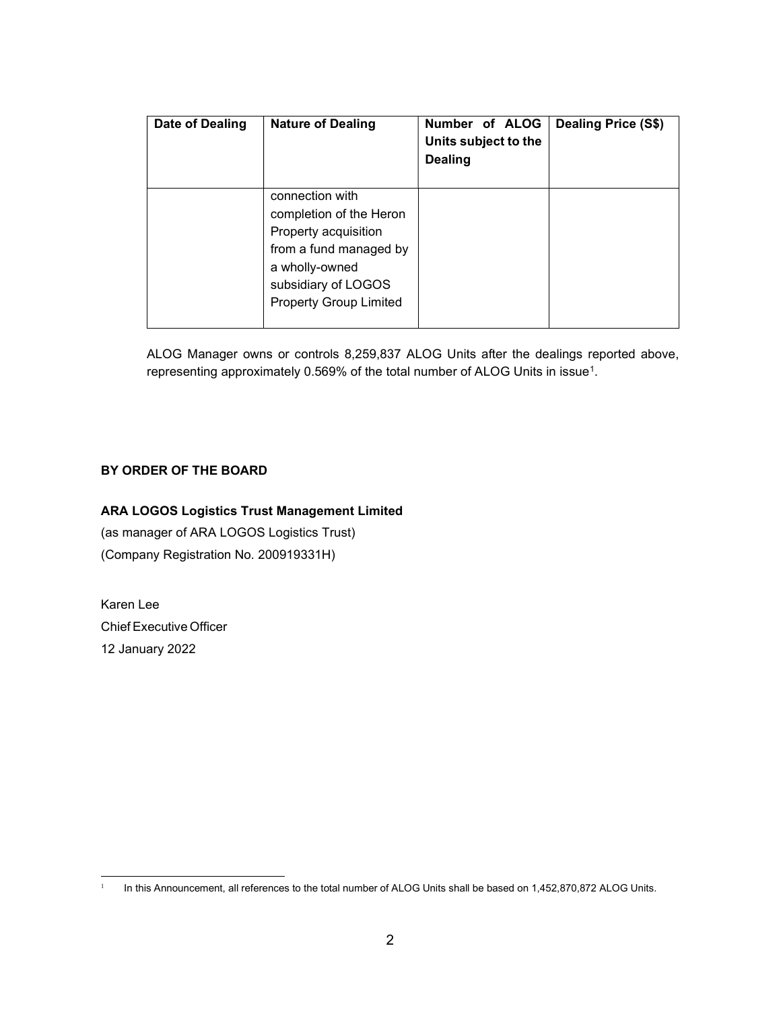| Date of Dealing | <b>Nature of Dealing</b>                                                                                                                                               | Number of ALOG<br>Units subject to the<br><b>Dealing</b> | Dealing Price (S\$) |
|-----------------|------------------------------------------------------------------------------------------------------------------------------------------------------------------------|----------------------------------------------------------|---------------------|
|                 | connection with<br>completion of the Heron<br>Property acquisition<br>from a fund managed by<br>a wholly-owned<br>subsidiary of LOGOS<br><b>Property Group Limited</b> |                                                          |                     |

ALOG Manager owns or controls 8,259,837 ALOG Units after the dealings reported above, representing approximately 0.569% of the total number of ALOG Units in issue<sup>1</sup> .

# BY ORDER OF THE BOARD

# ARA LOGOS Logistics Trust Management Limited

(as manager of ARA LOGOS Logistics Trust) (Company Registration No. 200919331H)

Karen Lee Chief Executive Officer 12 January 2022

<sup>1</sup> In this Announcement, all references to the total number of ALOG Units shall be based on 1,452,870,872 ALOG Units.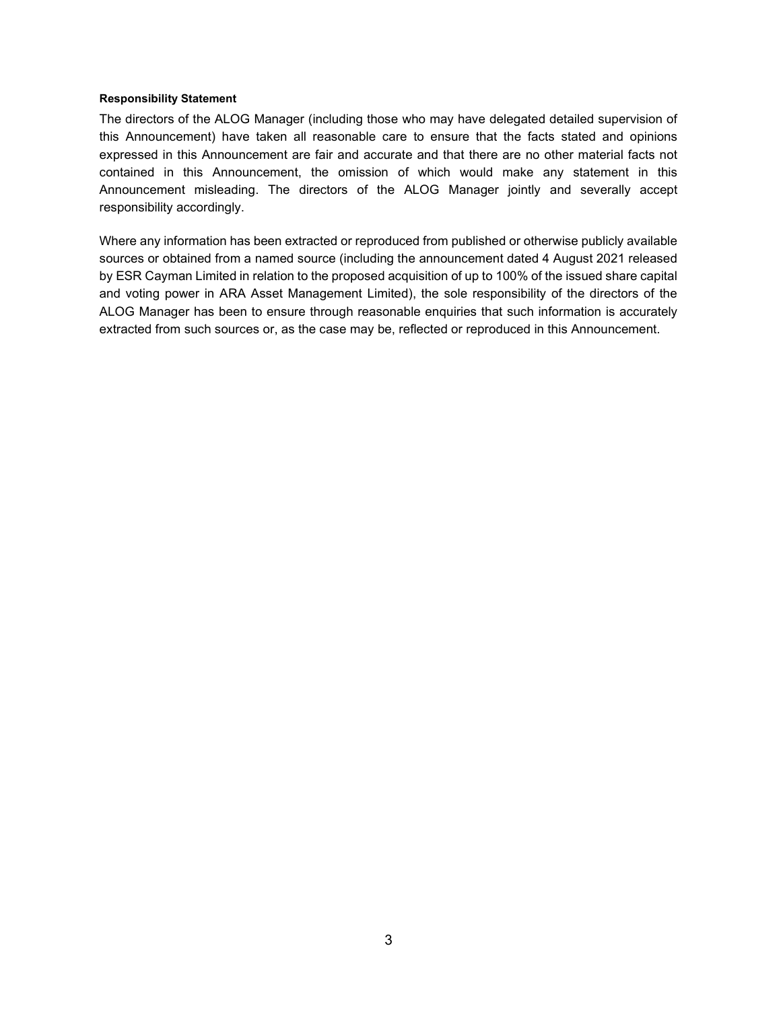### Responsibility Statement

The directors of the ALOG Manager (including those who may have delegated detailed supervision of this Announcement) have taken all reasonable care to ensure that the facts stated and opinions expressed in this Announcement are fair and accurate and that there are no other material facts not contained in this Announcement, the omission of which would make any statement in this Announcement misleading. The directors of the ALOG Manager jointly and severally accept responsibility accordingly.

Where any information has been extracted or reproduced from published or otherwise publicly available sources or obtained from a named source (including the announcement dated 4 August 2021 released by ESR Cayman Limited in relation to the proposed acquisition of up to 100% of the issued share capital and voting power in ARA Asset Management Limited), the sole responsibility of the directors of the ALOG Manager has been to ensure through reasonable enquiries that such information is accurately extracted from such sources or, as the case may be, reflected or reproduced in this Announcement.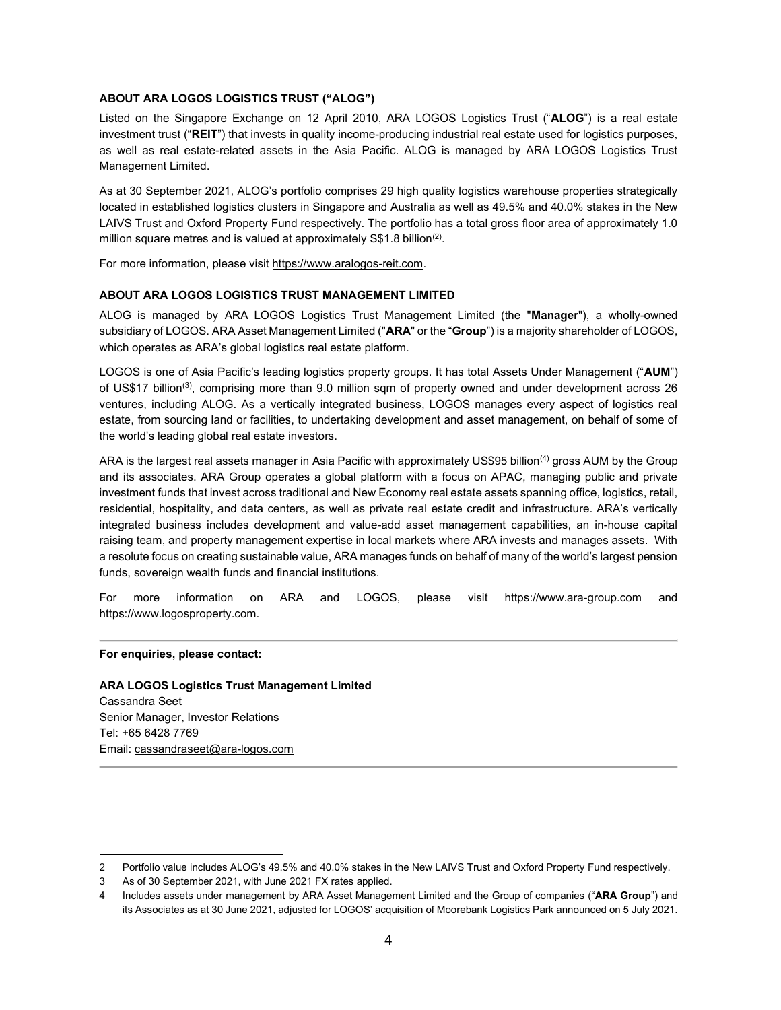### ABOUT ARA LOGOS LOGISTICS TRUST ("ALOG")

Listed on the Singapore Exchange on 12 April 2010, ARA LOGOS Logistics Trust ("ALOG") is a real estate investment trust ("REIT") that invests in quality income-producing industrial real estate used for logistics purposes, as well as real estate-related assets in the Asia Pacific. ALOG is managed by ARA LOGOS Logistics Trust Management Limited.

As at 30 September 2021, ALOG's portfolio comprises 29 high quality logistics warehouse properties strategically located in established logistics clusters in Singapore and Australia as well as 49.5% and 40.0% stakes in the New LAIVS Trust and Oxford Property Fund respectively. The portfolio has a total gross floor area of approximately 1.0 million square metres and is valued at approximately S\$1.8 billion<sup>(2)</sup>.

For more information, please visit https://www.aralogos-reit.com.

#### ABOUT ARA LOGOS LOGISTICS TRUST MANAGEMENT LIMITED

ALOG is managed by ARA LOGOS Logistics Trust Management Limited (the "Manager"), a wholly-owned subsidiary of LOGOS. ARA Asset Management Limited ("ARA" or the "Group") is a majority shareholder of LOGOS, which operates as ARA's global logistics real estate platform.

LOGOS is one of Asia Pacific's leading logistics property groups. It has total Assets Under Management ("AUM") of US\$17 billion(3), comprising more than 9.0 million sqm of property owned and under development across 26 ventures, including ALOG. As a vertically integrated business, LOGOS manages every aspect of logistics real estate, from sourcing land or facilities, to undertaking development and asset management, on behalf of some of the world's leading global real estate investors.

ARA is the largest real assets manager in Asia Pacific with approximately US\$95 billion<sup>(4)</sup> gross AUM by the Group and its associates. ARA Group operates a global platform with a focus on APAC, managing public and private investment funds that invest across traditional and New Economy real estate assets spanning office, logistics, retail, residential, hospitality, and data centers, as well as private real estate credit and infrastructure. ARA's vertically integrated business includes development and value-add asset management capabilities, an in-house capital raising team, and property management expertise in local markets where ARA invests and manages assets. With a resolute focus on creating sustainable value, ARA manages funds on behalf of many of the world's largest pension funds, sovereign wealth funds and financial institutions.

For more information on ARA and LOGOS, please visit https://www.ara-group.com and https://www.logosproperty.com.

#### For enquiries, please contact:

#### ARA LOGOS Logistics Trust Management Limited

Cassandra Seet Senior Manager, Investor Relations Tel: +65 6428 7769 Email: cassandraseet@ara-logos.com

<sup>2</sup> Portfolio value includes ALOG's 49.5% and 40.0% stakes in the New LAIVS Trust and Oxford Property Fund respectively.

<sup>3</sup> As of 30 September 2021, with June 2021 FX rates applied.

<sup>4</sup> Includes assets under management by ARA Asset Management Limited and the Group of companies ("ARA Group") and its Associates as at 30 June 2021, adjusted for LOGOS' acquisition of Moorebank Logistics Park announced on 5 July 2021.